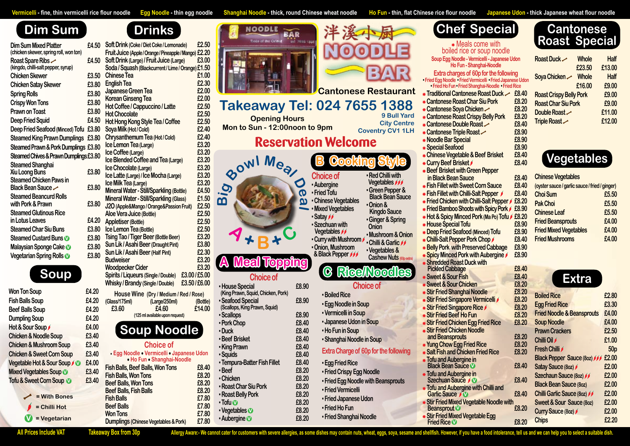Vermicelli - fine, thin vermicelli rice flour noodle Egg Noodle - thin egg noodle Shanghai Noodle - thick, round Chinese wheat noodle Ho Fun - thin, flat Chinese rice flour noodle Japanese Udon - thick Japanese wheat flour

## **Dim Sum**

| <b>Dim Sum Mixed Platter</b><br>(chicken skewer, spring roll, won ton) | £4.50 |
|------------------------------------------------------------------------|-------|
| Roast Spare Ribs $\sim$<br>(kingdo, chilli-salt pepper, syrup)         | £4.50 |
| <b>Chicken Skewer</b>                                                  | £3.50 |
| <b>Chicken Satay Skewer</b>                                            | £3.80 |
| <b>Spring Rolls</b>                                                    | £3.80 |
| <b>Crispy Won Tons</b>                                                 | £3.80 |
| <b>Prawn on Toast</b>                                                  | £3.80 |
| <b>Deep Fried Squid</b>                                                | £4.50 |
| Deep Fried Seafood (Minced) Tofu £3.80                                 |       |
| <b>Steamed King Prawn Dumplings £3.80</b>                              |       |
| <b>Steamed Prawn &amp; Pork Dumplings £3.80</b>                        |       |
| Steamed Chives & Prawn Dumplings £3.80                                 |       |
| <b>Steamed Shanghai</b>                                                |       |
| Xiu Loong Buns                                                         | £3.80 |
| <b>Steamed Chicken Paws in</b>                                         |       |
| Black Bean Sauce                                                       | £3.80 |
| <b>Steamed Beancurd Rolls</b><br>with Pork & Prawn                     | £3.80 |
| <b>Steamed Glutinous Rice</b>                                          |       |
| in Lotus Leaves                                                        | £4.20 |
| <b>Steamed Char Siu Buns</b>                                           | £3.80 |
| <b>Steamed Custard Buns O</b>                                          | £3.80 |
| Malaysian Sponge Cake                                                  | £3.80 |

| <b>Won Ton Soup</b>                   | £4.20 |
|---------------------------------------|-------|
| <b>Fish Balls Soup</b>                | £4.20 |
| <b>Beef Balls Soup</b>                | £4.20 |
| <b>Dumpling Soup</b>                  | £4.20 |
| Hot & Sour Soup                       | £4.00 |
| <b>Chicken &amp; Noodle Soup</b>      | £3.40 |
| <b>Chicken &amp; Mushroom Soup</b>    | £3.40 |
| <b>Chicken &amp; Sweet Corn Soup</b>  | £3.40 |
| Vegetable Hot & Sour Soup / <b>10</b> | £4.00 |
| <b>Mixed Vegetables Soup</b>          | £3.40 |
| Tofu & Sweet Corn Soup                | £3.40 |
|                                       |       |

| £4.00 | • Ho Fun • Shanghai-Noodle              |
|-------|-----------------------------------------|
| £3.40 | <b>Fish Balls, Beef Balls, Won Tons</b> |
|       | <b>Fish Balls, Won Tons</b>             |
| £3.40 | <b>Beef Balls, Won Tons</b>             |
|       | <b>Beef Balls, Fish Balls</b>           |
|       | <b>Fish Balls</b>                       |
|       | <b>Beef Balls</b>                       |
|       | <b>Won Tons</b>                         |
|       | Dumplings (Chinese Vegetables & Pork)   |

**Example 8.2020 Bellisher & Crist Crist Cantonese Double Roast £8.40**

**Fish Balls, Beef Balls, Won Tons £8.40 Fish Balls, Won Tons £8.20 Beef Balls, Won Tons £8.20 Beef Balls, Fish Balls £8.20 Fish Balls £7.80 Beef Balls £7.80 Won Tons £7.80 Dumplings (Chinese Vegetables & Pork) £7.80**

#### **Choice of** • **Egg Noodle** • **Vermicelli** • **Japanese Udon** • **Ho Fun** • **Shanghai-Noodle**

# **Choice of**

### ▪ **House Special £8.90 (King Prawn, Squid, Chicken, Pork)** ▪ **Seafood Special £8.90**

- **(Scallops, King Prawn, Squid)**
- ▪ **Scallops £8.90**
- ▪ **Pork Chop £8.40** ▪ **Duck £8.40**
- ▪ **Beef Brisket £8.40**
- ▪ **King Prawn £8.40**
- ▪ **Squids £8.40**
- ▪ **Tempura-Batter Fish Fillet £8.40**
- ▪ **Beef £8.20**
- ▪ **Chicken £8.20** ▪ **Roast Char Siu Pork £8.20**
- ▪ **Roast Belly Pork £8.20**
- **EXECUTE:**<br>■ Tofu **EXECUTE:**<br>■ PORT → EXECUTE:
- ▪ **Vegetables V £8.20** ▪ **Aubergine V £8.20**

| 洋溪小厨   |                    |
|--------|--------------------|
| NOODLE |                    |
|        | <b>SARRING BAR</b> |

| <b>Meals come with</b>                                                                                            |       |
|-------------------------------------------------------------------------------------------------------------------|-------|
| boiled rice or soup noodle                                                                                        |       |
| Soup Egg Noodle - Vermicelli - Japanese Udon<br>Ho Fun - Shanghai-Noodle                                          |       |
|                                                                                                                   |       |
| <b>Extra charges of 60p for the following</b>                                                                     |       |
| • Fried Egg Noodle • Fried Vermicelli • Fried Japanese Udo<br>• Fried Ho Fun • Fried Shanghai-Noodle • Fried Rice |       |
|                                                                                                                   |       |
| * Traditional Cantonese Roast Duck →                                                                              | £8.40 |
| <b>Exambinese Roast Char Siu Pork</b>                                                                             | £8.20 |
| *Cantonese Soya Chicken                                                                                           | £8.20 |
| <b>Example Seart Crispy Belly Pork</b>                                                                            | £8.20 |
| <b>* Cantonese Double Roast -</b>                                                                                 | £8.40 |
| * Cantonese Triple Roast ←                                                                                        | £8.90 |
| <b>Noodle Bar Special</b>                                                                                         | £8.90 |
| <b>Special Seafood</b>                                                                                            | £8.90 |
| <b>* Chinese Vegetable &amp; Beef Brisket</b>                                                                     | £8.40 |
| * Curry Beef Brisket                                                                                              | £8.40 |
| <b>Beef Brisket with Green Pepper</b>                                                                             |       |
| in Black Bean Sauce                                                                                               | £8.40 |
| <b>Eish Fillet with Sweet Corn Sauce</b>                                                                          | £8.40 |
| Fish Fillet with Chilli-Salt Pepper                                                                               | £8.40 |
| Fried Chicken with Chilli-Salt Pepper                                                                             | £8.20 |
| Fried Bamboo Shoots with Spicy Pork                                                                               | £8.90 |
| Hot & Spicy Minced Pork (Ma Po) Tofu                                                                              | £8.20 |
| <b>* House Special Tofu</b>                                                                                       | £8.90 |
| <b>Deep Fried Seafood (Minced) Toful</b>                                                                          | £8.90 |
| <b>* Chilli-Salt Pepper Pork Chop</b>                                                                             | £8.40 |
| <b>Belly Pork with Preserved Cabbage</b>                                                                          | £8.90 |
| <b>Spicy Minced Pork with Aubergine</b>                                                                           | £8.90 |
| <b>Shredded Roast Duck with</b>                                                                                   |       |
| <b>Pickled Cabbage</b>                                                                                            | £8.40 |
| <b>Sweet &amp; Sour Fish</b>                                                                                      | £8.40 |
| <b>Sweet &amp; Sour Chicken</b>                                                                                   | £8.20 |
| <b>Stir Fried Shanghai Noodle</b>                                                                                 | £8.20 |
| <b>Stir Fried Singapore Vermicelli</b>                                                                            | £8.20 |
|                                                                                                                   |       |

#### **& Black Pepper Cashew Nuts**

**Choice of**

- ▪ **Vermicelli in Soup**
- 

- ▪ **Boiled Rice** ▪ **Egg Noodle in Soup**
- 
- 
- 
- 
- 
- **Extra Charge of 60p for the following**
- 
- 
- 
- ▪ **Fried Vermicelli**
- 
- -
- 
- 
- ▪ **Japanese Udon in Soup**
- ▪ **Ho Fun in Soup**
- ▪ **Shanghai Noodle in Soup**
- - ▪ **Egg Fried Rice**
	- ▪ **Fried Crispy Egg Noodle**
	- ▪ **Fried Egg Noodle with Beansprouts**
	-
- ▪ **Fried Japanese Udon**
- ▪ **Fried Ho Fun**
	- ▪ **Fried Shanghai Noodle**

| <b>Dim Sum Mixed Platter</b>                                 | £4.50 | Soft Drink (Coke / Diet Coke / Lemonade)                                                          | £2.50          |
|--------------------------------------------------------------|-------|---------------------------------------------------------------------------------------------------|----------------|
| (chicken skewer, spring roll, won ton)                       |       | Fruit Juice (Apple / Orange / Pineapple / Mango) £2.20                                            |                |
| Roast Spare Ribs                                             | £4.50 | Soft Drink (Large) / Fruit Juice (Large)                                                          | £3.00          |
| (kingdo, chilli-salt pepper, syrup)<br><b>Chicken Skewer</b> | £3.50 | Soda / Squash (Blackcurrent / Lime / Orange) £1.50<br><b>Chinese Tea</b>                          | £1.00          |
|                                                              |       |                                                                                                   | £2.30          |
| <b>Chicken Satay Skewer</b>                                  | £3.80 | <b>English Tea</b>                                                                                | £2.00          |
| <b>Spring Rolls</b>                                          | £3.80 | Japanese Green Tea                                                                                | £2.00          |
| <b>Crispy Won Tons</b>                                       | £3.80 | <b>Korean Ginseng Tea</b><br>Hot Coffee / Cappuccino / Latte                                      | £2.50          |
| <b>Prawn on Toast</b>                                        | £3.80 | <b>Hot Chocolate</b>                                                                              | £2.50          |
| <b>Deep Fried Squid</b>                                      | £4.50 | Hot Hong Kong Style Tea / Coffee                                                                  | £2.50          |
| Deep Fried Seafood (Minced) Tofu £3.80                       |       | Soya Milk (Hot / Cold)                                                                            | £2.40          |
| <b>Steamed King Prawn Dumplings £3.80</b>                    |       | Chrysanthemum Tea (Hot / Cold)                                                                    | £2.40          |
| <b>Steamed Prawn &amp; Pork Dumplings £3.80</b>              |       | Ice Lemon Tea (Large)                                                                             | £3.20          |
| Steamed Chives & Prawn Dumplings £3.80                       |       | Ice Coffee (Large)                                                                                | £3.20          |
| <b>Steamed Shanghai</b>                                      |       | Ice Blended Coffee and Tea (Large)                                                                | £3.20          |
| Xiu Loong Buns                                               | £3.80 | Ice Chocolate (Large)                                                                             | £3.20          |
| <b>Steamed Chicken Paws in</b>                               |       | Ice Latte (Large) / Ice Mocha (Large)                                                             | £3.20          |
| Black Bean Sauce                                             | £3.80 | Ice Milk Tea (Large)                                                                              | £3.20<br>£4.50 |
| <b>Steamed Beancurd Rolls</b>                                |       | <b>Mineral Water - Still/Sparkling (Bottle)</b><br><b>Mineral Water - Still/Sparkling (Glass)</b> | £1.50          |
| with Pork & Prawn                                            | £3.80 | J2O (Apple&Mango / Orange&Passion Fruit)                                                          | £2.50          |
| <b>Steamed Glutinous Rice</b>                                |       | Aloe Vera Juice (Bottle)                                                                          | £2.50          |
| in Lotus Leaves                                              | £4.20 | <b>Appletiser (Bottle)</b>                                                                        | £2.50          |
| <b>Steamed Char Siu Buns</b>                                 | £3.80 | Ice Lemon Tea (Bottle)                                                                            | £2.50          |
| Steamed Custard Buns <sup>o</sup>                            | £3.80 | <b>Tsing Tao / Tiger Beer (Bottle Beer)</b>                                                       | £3.20          |
| Malaysian Sponge Cake                                        | £3.80 | Sun Lik / Asahi Beer (Draught Pint)                                                               | £3.80          |
| Vegetarian Spring Rolls <sup>1</sup>                         | £3.80 | Sun Lik / Asahi Beer (Half Pint)                                                                  | £2.30          |
|                                                              |       | <b>Budweiser</b>                                                                                  | £3.20          |
|                                                              |       | <b>Woodpecker Cider</b>                                                                           | £3.20          |
| Soup                                                         |       | £3.00/£5.00<br>Spirits / Liqueurs (Single / Double)                                               |                |
|                                                              |       | £3.50/£6.00<br><b>Whisky / Brandy (Single / Double)</b>                                           |                |

▪ **Fried Tofu**

■ Satav *D* 

▪ **Chinese Vegetables** ▪ **Mixed Vegetables**

**Won Ton Soup £4.20 Fish Balls Soup £4.20 Beef Balls Soup £4.20 Dumpling Soup £4.20 House Wine (Dry / Medium / Red / Rose) (Glass/175ml) (Large/250ml) (Bottle) £3.60 £4.60 £14.00 (125 ml available upon request)**

▪ **Red Chilli with Vegetables**  ▪ **Green Pepper &**

▪ **Szechuan with Vegetables**  ▪ **Curry with Mushroom Onion** ▪ **Chilli & Garlic** 

▪ **Onion, Mushroom** ▪ **Vegetables &** 

▪ **Onion &**

- **Example 8.933** Cantonese Triple Roas  **Noodle Bar Special £8.90**
	- **Special Seafood £8.90**
	- **Chinese Vegetable & E**
	- **Curry Beef Brisket /**

- **Beef Brisket with Gree in Black Bean Sauce Fish Fillet with Sweet (**
- **Example 1 Fillet with Chilli-Sally**
- **Example 2.3 Fried Chicken with Chi Black Bean Sauce**
	- **Example Bamboo Shoots with Spice 3.95**
- **Hot & Spicy Minced Po Kingdo Sauce** ▪ **Ginger & Spring**
	- **House Special Tofu £8.90 EDeep Fried Seafood (M)**
- ▪ **Mushroom & Onion**
	- **Chilli-Salt Pepper Pork Belly Pork with Preser**
	-
	- **Spicy Minced Pork with Spicy Minced 2.900 Shredded Roast Duck**
	- **Pickled Cabbage Sweet & Sour Fish**
	- **Sweet & Sour Chicker**
	- **Stir Fried Shanghai No.**
	- **Stir Fried Singapore V**
	- **Stir Fried Singapore Rice**
	- **Stir Fried Beef Ho Fun**
	- **Stir Fried Chicken Egg Fried**
	- **Stir Fried Chicken Noodle and Beansprouts**
	- **Yung Chow Egg Fried Rice**
	- **Salt Fish and Chicken Fried**
	- **Tofu and Aubergine in**
	- **Black Bean Sauce**  $\bullet$  **Tofu and Aubergine in**
	- **Szechuan Sauce**  $\sqrt{\mathbf{V}}$ **Tofu and Aubergine with Chilli and**
	- **Garlic Sauce** *i**V*
	- **Stir Fried Mixed Vegetable I Beansprout**  $\bullet$
	- **Stir Fried Mixed Vegetable I Fried Rice**  $\mathbf{\nabla}$



**Cantonese Restaurant Takeaway Tel: 024 7655 1388 9 Bull Yard City Centre Coventry CV1 1LH**

| Roast Duck ~                   | <b>Whole</b> | <b>Half</b> |
|--------------------------------|--------------|-------------|
|                                | £23.50       | £13.00      |
| Soya Chicken $\angle$          | <b>Whole</b> | <b>Half</b> |
|                                | £16.00       | £9.00       |
| <b>Roast Crispy Belly Pork</b> |              | £9.00       |
| <b>Roast Char Siu Pork</b>     |              | £9.00       |
| Double Roast ~                 |              | £11.00      |
| Triple Roast                   |              | £12.00      |

| <b>Takeaway Tel: 024 7655 138</b>                     | <b>OODLE</b><br><b>Cantonese Restaura</b>                                 |
|-------------------------------------------------------|---------------------------------------------------------------------------|
| <b>Opening Hours</b><br>Mon to Sun - 12:00noon to 9pm | 9 Bull Ya<br><b>City Cen</b>                                              |
| <b>Reservation Welcome</b>                            | <b>Coventry CV11</b>                                                      |
| BOWLMea                                               | <b>B Cooking Style</b>                                                    |
|                                                       | . Red Chilli with<br><b>Choice of</b><br><b>Vegetables</b><br>· Aubergine |

| <b>Chinese Vegetables</b>                      |       |
|------------------------------------------------|-------|
| (oyster sauce / garlic sauce / fried / ginger) |       |
| <b>Choi Sum</b>                                | £5.50 |
| <b>Pak Choi</b>                                | £5.50 |
| <b>Chinese Leaf</b>                            | £5.50 |
| <b>Fried Beansprouts</b>                       | £4.00 |
| <b>Fried Mixed Vegetables</b>                  | £4.00 |
| <b>Fried Mushrooms</b>                         | £4.00 |
|                                                |       |

|                    | £8.20          |                                       |                 |
|--------------------|----------------|---------------------------------------|-----------------|
| elli ∕             | £8.20          | <b>Boiled Rice</b>                    | £2.80           |
|                    | £8.20          | <b>Egg Fried Rice</b>                 | £3.30           |
|                    | £8.20          | <b>Fried Noodle &amp; Beansprouts</b> | £4.00           |
| d Rice             | £8.20          | <b>Soup Noodle</b>                    | £4.00           |
|                    |                | <b>Prawn Crackers</b>                 | £2.50           |
|                    | £8.20          | Chilli Oil                            | £1.00           |
| <b>Rice</b>        | £8.20<br>£8.20 | <b>Fresh Chilli</b>                   | 50 <sub>p</sub> |
|                    |                | <b>Black Pepper Sauce (8oz)</b>       | £2.00           |
|                    | £8.40          | Satay Sauce (8oz)                     | £2.00           |
|                    |                | Szechaun Sauce (8oz) 66               | £2.00           |
| iilli and          | £8.40          | <b>Black Bean Sauce (80z)</b>         | £2.00           |
|                    | £8.40          | <b>Chilli Garlic Sauce (80z)</b>      | £2.00           |
| <b>Noodle with</b> |                | <b>Sweet &amp; Sour Sauce (80z)</b>   | £2.00           |
|                    | £8.20          | Curry Sauce (8oz)                     | £2.00           |
| Egg                | £8.20          | <b>Chips</b>                          | £2.20           |
|                    |                |                                       |                 |

## **Soup**



**A Meal Topping C Rice/Noodles**

### **Chef Special Cantonese Roast Special**



**= With Bones**

**= Chilli Hot**

**V = Vegetarian**

| Talzaaway |  |
|-----------|--|

All Prices Include VAT Takeaway Box from 30p Allergy Aware:- We cannot cater for customers with severe allergies, as some dishes may contain nuts, wheat, eggs, soya, sesame and shellfish. However, if you have a food intole

| <b>Drinks</b> |  |
|---------------|--|
|               |  |